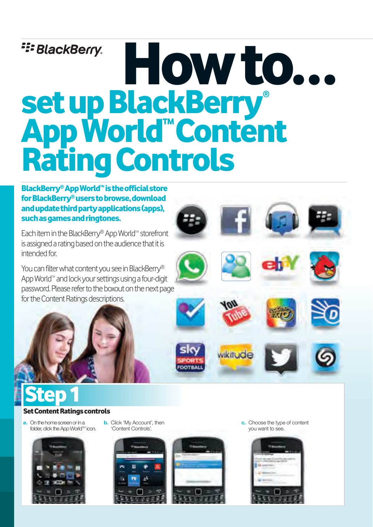# **E: BlackBerry.** How to... set up BlackBerry® App World™Content Rating Controls

**BlackBerry® App World™ is the official store** for BlackBerry®users to browse, download and update third party applications (apps), such as games and ringtones.

Each item in the BlackBerry® App World™ storefront is assigned a rating based on the audience that it is intended for

You can filter what content you see in BlackBerry® App World™ and lock your settings using a four-digit password. Please refer to the boxout on the next page for the Content Ratings descriptions.

# **Step 1**

### **Set Content Ratings controls**

you want to a. On the home screen or in a folder, click the App WorldTM icon.



**b.** Click 'My Account', then 'Content Controls'.





c. Choose the type of content you want to see.

wikitude